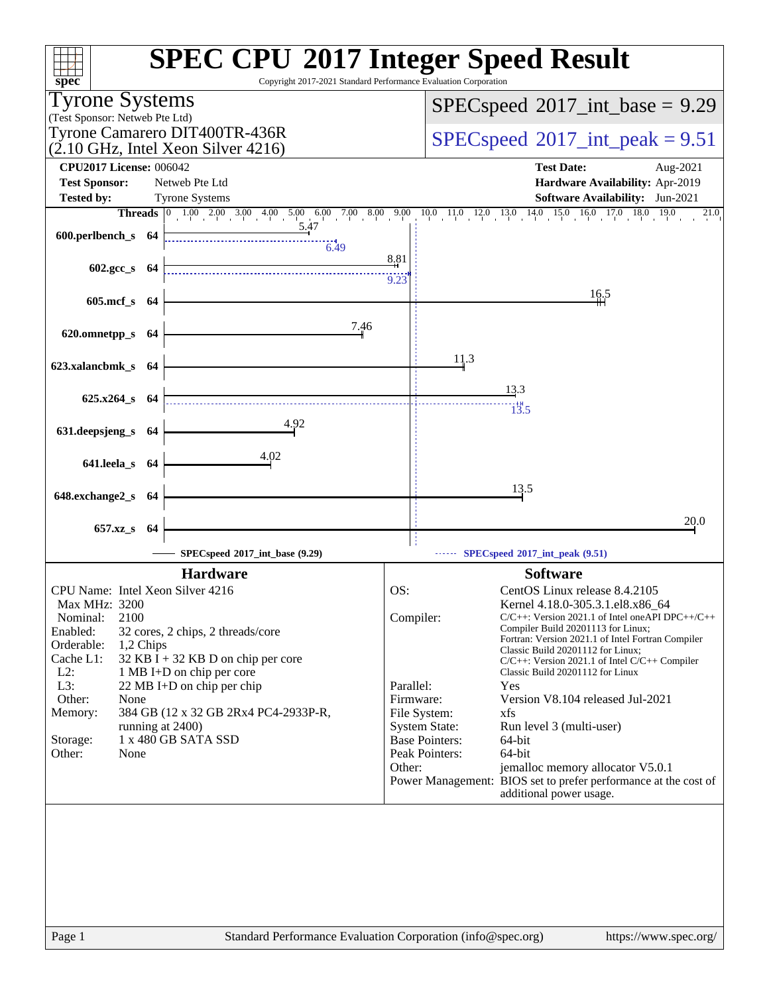| $spec^*$                                                        | <b>SPEC CPU®2017 Integer Speed Result</b><br>Copyright 2017-2021 Standard Performance Evaluation Corporation              |           |                       |                                                                                           |
|-----------------------------------------------------------------|---------------------------------------------------------------------------------------------------------------------------|-----------|-----------------------|-------------------------------------------------------------------------------------------|
| <b>Tyrone Systems</b>                                           |                                                                                                                           |           |                       | $SPEC speed^{\circ}2017\_int\_base = 9.29$                                                |
| (Test Sponsor: Netweb Pte Ltd)<br>Tyrone Camarero DIT400TR-436R |                                                                                                                           |           |                       |                                                                                           |
| $(2.10 \text{ GHz}, \text{Intel Xeon Silver } 4216)$            |                                                                                                                           |           |                       | $SPEC speed^{\circ}2017\_int\_peak = 9.51$                                                |
| <b>CPU2017 License: 006042</b>                                  |                                                                                                                           |           |                       | <b>Test Date:</b><br>Aug-2021                                                             |
| <b>Test Sponsor:</b>                                            | Netweb Pte Ltd                                                                                                            |           |                       | Hardware Availability: Apr-2019                                                           |
| <b>Tested by:</b>                                               | <b>Tyrone Systems</b>                                                                                                     |           |                       | <b>Software Availability:</b> Jun-2021                                                    |
|                                                                 | <b>Threads</b> 0 1.00 2.00 3.00 4.00 5.00 6.00 7.00 8.00 9.00 10.0 11.0 12.0 13.0 14.0 15.0 16.0 17.0 18.0<br><u>5.47</u> |           |                       | 19.0<br>21.0                                                                              |
| 600.perlbench_s 64                                              | 6.49                                                                                                                      |           |                       |                                                                                           |
|                                                                 |                                                                                                                           | 8.81      |                       |                                                                                           |
| $602.\text{gcc s}$ 64                                           |                                                                                                                           | 9.23      |                       |                                                                                           |
| 605.mcf_s 64                                                    |                                                                                                                           |           |                       | 16.5                                                                                      |
|                                                                 |                                                                                                                           |           |                       |                                                                                           |
| 620.omnetpp_s 64                                                | 7.46                                                                                                                      |           |                       |                                                                                           |
|                                                                 |                                                                                                                           |           |                       |                                                                                           |
| 623.xalancbmk_s 64                                              |                                                                                                                           |           | 11.3                  |                                                                                           |
|                                                                 |                                                                                                                           |           |                       | 13.3                                                                                      |
| 625.x264_s 64                                                   |                                                                                                                           |           |                       | $\overline{1}\overline{3}$ .5                                                             |
|                                                                 | 4.92                                                                                                                      |           |                       |                                                                                           |
| 631.deepsjeng_s 64                                              |                                                                                                                           |           |                       |                                                                                           |
| 641.leela_s 64                                                  | 4.02                                                                                                                      |           |                       |                                                                                           |
|                                                                 |                                                                                                                           |           |                       |                                                                                           |
| 648.exchange2_s 64                                              |                                                                                                                           |           |                       | 13.5                                                                                      |
|                                                                 |                                                                                                                           |           |                       |                                                                                           |
| 657.xz_s 64                                                     |                                                                                                                           |           |                       | 20.0                                                                                      |
|                                                                 | SPECspeed*2017_int_base (9.29)                                                                                            |           |                       | SPECspeed®2017_int_peak (9.51)                                                            |
|                                                                 | <b>Hardware</b>                                                                                                           |           |                       | <b>Software</b>                                                                           |
| CPU Name: Intel Xeon Silver 4216                                |                                                                                                                           | OS:       |                       | CentOS Linux release 8.4.2105                                                             |
| Max MHz: 3200                                                   |                                                                                                                           |           |                       | Kernel 4.18.0-305.3.1.el8.x86_64                                                          |
| 2100<br>Nominal:                                                |                                                                                                                           |           | Compiler:             | $C/C++$ : Version 2021.1 of Intel one API DPC++/C++<br>Compiler Build 20201113 for Linux; |
| Enabled:<br>Orderable:<br>1,2 Chips                             | 32 cores, 2 chips, 2 threads/core                                                                                         |           |                       | Fortran: Version 2021.1 of Intel Fortran Compiler                                         |
| Cache L1:                                                       | 32 KB I + 32 KB D on chip per core                                                                                        |           |                       | Classic Build 20201112 for Linux;<br>$C/C++$ : Version 2021.1 of Intel $C/C++$ Compiler   |
| $L2$ :                                                          | 1 MB I+D on chip per core                                                                                                 |           |                       | Classic Build 20201112 for Linux                                                          |
| L3:<br>Other:<br>None                                           | 22 MB I+D on chip per chip                                                                                                | Parallel: | Firmware:             | Yes<br>Version V8.104 released Jul-2021                                                   |
| Memory:                                                         | 384 GB (12 x 32 GB 2Rx4 PC4-2933P-R,                                                                                      |           | File System:          | xfs                                                                                       |
| running at 2400)                                                |                                                                                                                           |           | <b>System State:</b>  | Run level 3 (multi-user)                                                                  |
| Storage:                                                        | 1 x 480 GB SATA SSD                                                                                                       |           | <b>Base Pointers:</b> | 64-bit                                                                                    |
| Other:<br>None                                                  |                                                                                                                           | Other:    | Peak Pointers:        | 64-bit<br>jemalloc memory allocator V5.0.1                                                |
|                                                                 |                                                                                                                           |           |                       | Power Management: BIOS set to prefer performance at the cost of                           |
|                                                                 |                                                                                                                           |           |                       | additional power usage.                                                                   |
|                                                                 |                                                                                                                           |           |                       |                                                                                           |
|                                                                 |                                                                                                                           |           |                       |                                                                                           |
|                                                                 |                                                                                                                           |           |                       |                                                                                           |
|                                                                 |                                                                                                                           |           |                       |                                                                                           |
|                                                                 |                                                                                                                           |           |                       |                                                                                           |
|                                                                 |                                                                                                                           |           |                       |                                                                                           |
|                                                                 |                                                                                                                           |           |                       |                                                                                           |
| Page 1                                                          | Standard Performance Evaluation Corporation (info@spec.org)                                                               |           |                       | https://www.spec.org/                                                                     |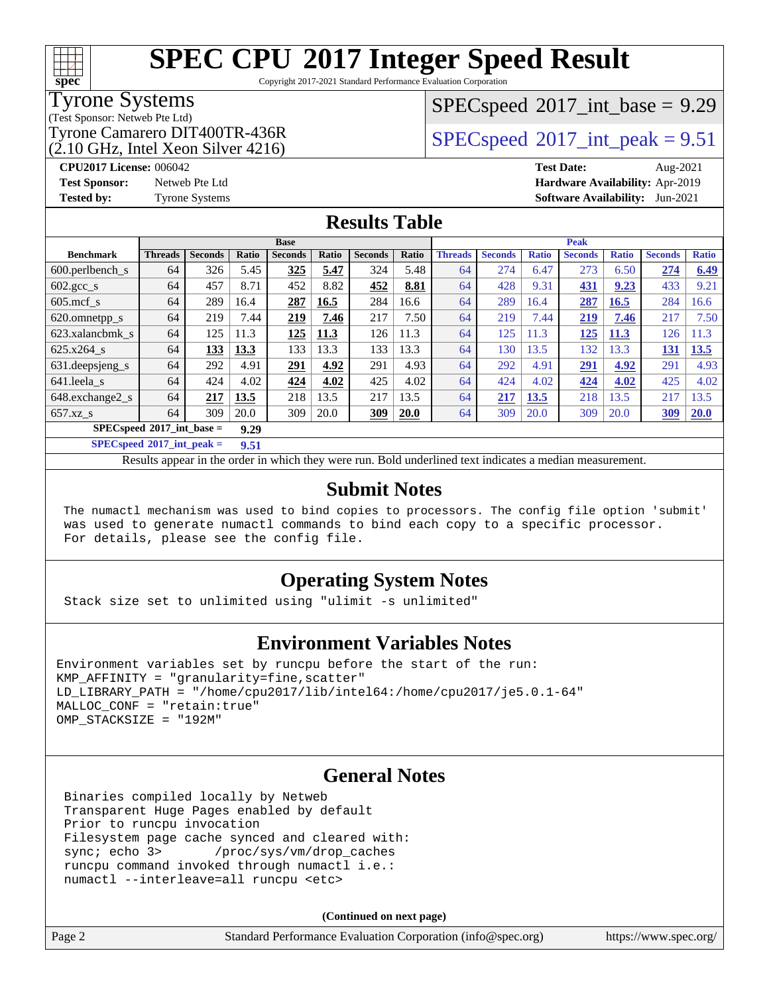Copyright 2017-2021 Standard Performance Evaluation Corporation

#### Tyrone Systems

**[spec](http://www.spec.org/)**

(Test Sponsor: Netweb Pte Ltd)

 $(2.10 \text{ GHz}, \text{Intel Xeon Silver } 4216)$ 

 $SPECspeed^{\circledcirc}2017\_int\_base = 9.29$  $SPECspeed^{\circledcirc}2017\_int\_base = 9.29$ 

Tyrone Camarero DIT400TR-436R<br> $(2.10 \text{ GHz.} \text{J} \cdot \text{m}^2)$  [SPECspeed](http://www.spec.org/auto/cpu2017/Docs/result-fields.html#SPECspeed2017intpeak)®[2017\\_int\\_peak = 9](http://www.spec.org/auto/cpu2017/Docs/result-fields.html#SPECspeed2017intpeak).51

**[CPU2017 License:](http://www.spec.org/auto/cpu2017/Docs/result-fields.html#CPU2017License)** 006042 **[Test Date:](http://www.spec.org/auto/cpu2017/Docs/result-fields.html#TestDate)** Aug-2021 **[Test Sponsor:](http://www.spec.org/auto/cpu2017/Docs/result-fields.html#TestSponsor)** Netweb Pte Ltd **[Hardware Availability:](http://www.spec.org/auto/cpu2017/Docs/result-fields.html#HardwareAvailability)** Apr-2019 **[Tested by:](http://www.spec.org/auto/cpu2017/Docs/result-fields.html#Testedby)** Tyrone Systems **[Software Availability:](http://www.spec.org/auto/cpu2017/Docs/result-fields.html#SoftwareAvailability)** Jun-2021

#### **[Results Table](http://www.spec.org/auto/cpu2017/Docs/result-fields.html#ResultsTable)**

|                               | <b>Base</b>    |                |       |                | <b>Peak</b> |                |       |                |                |              |                |              |                |              |
|-------------------------------|----------------|----------------|-------|----------------|-------------|----------------|-------|----------------|----------------|--------------|----------------|--------------|----------------|--------------|
| <b>Benchmark</b>              | <b>Threads</b> | <b>Seconds</b> | Ratio | <b>Seconds</b> | Ratio       | <b>Seconds</b> | Ratio | <b>Threads</b> | <b>Seconds</b> | <b>Ratio</b> | <b>Seconds</b> | <b>Ratio</b> | <b>Seconds</b> | <b>Ratio</b> |
| $600.$ perlbench $\mathsf{S}$ | 64             | 326            | 5.45  | 325            | 5.47        | 324            | 5.48  | 64             | 274            | 6.47         | 273            | 6.50         | 274            | 6.49         |
| $602.\text{gcc}\_\text{s}$    | 64             | 457            | 8.71  | 452            | 8.82        | 452            | 8.81  | 64             | 428            | 9.31         | 431            | 9.23         | 433            | 9.21         |
| $605$ .mcf s                  | 64             | 289            | 16.4  | 287            | 16.5        | 284            | 16.6  | 64             | 289            | 16.4         | 287            | 16.5         | 284            | 16.6         |
| 620.omnetpp_s                 | 64             | 219            | 7.44  | 219            | 7.46        | 217            | 7.50  | 64             | 219            | 7.44         | 219            | 7.46         | 217            | 7.50         |
| 623.xalancbmk s               | 64             | 125            | 11.3  | 125            | 11.3        | 126            | 11.3  | 64             | 125            | 11.3         | <u> 125</u>    | <b>11.3</b>  | 126            | 11.3         |
| 625.x264 s                    | 64             | 133            | 13.3  | 133            | 13.3        | 133            | 13.3  | 64             | 130            | 13.5         | 132            | 13.3         | 131            | 13.5         |
| 631.deepsjeng_s               | 64             | 292            | 4.91  | 291            | 4.92        | 291            | 4.93  | 64             | 292            | 4.91         | 291            | 4.92         | 291            | 4.93         |
| 641.leela s                   | 64             | 424            | 4.02  | 424            | 4.02        | 425            | 4.02  | 64             | 424            | 4.02         | 424            | 4.02         | 425            | 4.02         |
| 648.exchange2 s               | 64             | 217            | 13.5  | 218            | 13.5        | 217            | 13.5  | 64             | 217            | 13.5         | 218            | 13.5         | 217            | 13.5         |
| $657.xz$ <sub>S</sub>         | 64             | 309            | 20.0  | 309            | 20.0        | 309            | 20.0  | 64             | 309            | 20.0         | 309            | 20.0         | 309            | 20.0         |
| $SPECspeed*2017$ int base =   |                |                | 9.29  |                |             |                |       |                |                |              |                |              |                |              |

**[SPECspeed](http://www.spec.org/auto/cpu2017/Docs/result-fields.html#SPECspeed2017intpeak)[2017\\_int\\_peak =](http://www.spec.org/auto/cpu2017/Docs/result-fields.html#SPECspeed2017intpeak) 9.51**

Results appear in the [order in which they were run.](http://www.spec.org/auto/cpu2017/Docs/result-fields.html#RunOrder) Bold underlined text [indicates a median measurement](http://www.spec.org/auto/cpu2017/Docs/result-fields.html#Median).

#### **[Submit Notes](http://www.spec.org/auto/cpu2017/Docs/result-fields.html#SubmitNotes)**

 The numactl mechanism was used to bind copies to processors. The config file option 'submit' was used to generate numactl commands to bind each copy to a specific processor. For details, please see the config file.

#### **[Operating System Notes](http://www.spec.org/auto/cpu2017/Docs/result-fields.html#OperatingSystemNotes)**

Stack size set to unlimited using "ulimit -s unlimited"

#### **[Environment Variables Notes](http://www.spec.org/auto/cpu2017/Docs/result-fields.html#EnvironmentVariablesNotes)**

```
Environment variables set by runcpu before the start of the run:
KMP AFFINITY = "granularity=fine, scatter"
LD_LIBRARY_PATH = "/home/cpu2017/lib/intel64:/home/cpu2017/je5.0.1-64"
MALLOC_CONF = "retain:true"
OMP_STACKSIZE = "192M"
```
#### **[General Notes](http://www.spec.org/auto/cpu2017/Docs/result-fields.html#GeneralNotes)**

 Binaries compiled locally by Netweb Transparent Huge Pages enabled by default Prior to runcpu invocation Filesystem page cache synced and cleared with: sync; echo 3> /proc/sys/vm/drop\_caches runcpu command invoked through numactl i.e.: numactl --interleave=all runcpu <etc>

**(Continued on next page)**

| ige |  |
|-----|--|
|-----|--|

Page 2 Standard Performance Evaluation Corporation [\(info@spec.org\)](mailto:info@spec.org) <https://www.spec.org/>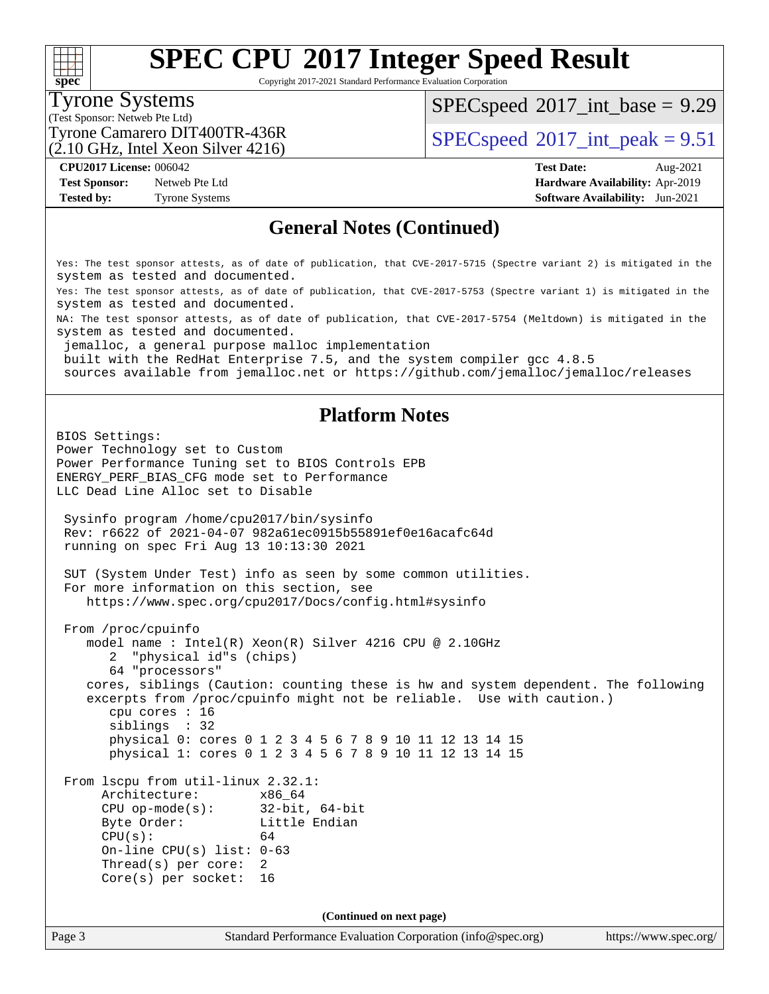Copyright 2017-2021 Standard Performance Evaluation Corporation

### Tyrone Systems

**[spec](http://www.spec.org/)**

 $+\ +$ 

(Test Sponsor: Netweb Pte Ltd)

 $SPECspeed^{\circ}2017\_int\_base = 9.29$  $SPECspeed^{\circ}2017\_int\_base = 9.29$ 

Tyrone Camarero DIT400TR-436R<br> $\frac{1}{2}$  [SPECspeed](http://www.spec.org/auto/cpu2017/Docs/result-fields.html#SPECspeed2017intpeak)®[2017\\_int\\_peak = 9](http://www.spec.org/auto/cpu2017/Docs/result-fields.html#SPECspeed2017intpeak).51

(2.10 GHz, Intel Xeon Silver 4216)

**[Test Sponsor:](http://www.spec.org/auto/cpu2017/Docs/result-fields.html#TestSponsor)** Netweb Pte Ltd **[Hardware Availability:](http://www.spec.org/auto/cpu2017/Docs/result-fields.html#HardwareAvailability)** Apr-2019

**[CPU2017 License:](http://www.spec.org/auto/cpu2017/Docs/result-fields.html#CPU2017License)** 006042 **[Test Date:](http://www.spec.org/auto/cpu2017/Docs/result-fields.html#TestDate)** Aug-2021 **[Tested by:](http://www.spec.org/auto/cpu2017/Docs/result-fields.html#Testedby)** Tyrone Systems **[Software Availability:](http://www.spec.org/auto/cpu2017/Docs/result-fields.html#SoftwareAvailability)** Jun-2021

#### **[General Notes \(Continued\)](http://www.spec.org/auto/cpu2017/Docs/result-fields.html#GeneralNotes)**

Yes: The test sponsor attests, as of date of publication, that CVE-2017-5715 (Spectre variant 2) is mitigated in the system as tested and documented.

Yes: The test sponsor attests, as of date of publication, that CVE-2017-5753 (Spectre variant 1) is mitigated in the system as tested and documented.

NA: The test sponsor attests, as of date of publication, that CVE-2017-5754 (Meltdown) is mitigated in the system as tested and documented.

jemalloc, a general purpose malloc implementation

built with the RedHat Enterprise 7.5, and the system compiler gcc 4.8.5

sources available from jemalloc.net or<https://github.com/jemalloc/jemalloc/releases>

#### **[Platform Notes](http://www.spec.org/auto/cpu2017/Docs/result-fields.html#PlatformNotes)**

BIOS Settings: Power Technology set to Custom Power Performance Tuning set to BIOS Controls EPB ENERGY\_PERF\_BIAS\_CFG mode set to Performance LLC Dead Line Alloc set to Disable Sysinfo program /home/cpu2017/bin/sysinfo Rev: r6622 of 2021-04-07 982a61ec0915b55891ef0e16acafc64d running on spec Fri Aug 13 10:13:30 2021 SUT (System Under Test) info as seen by some common utilities. For more information on this section, see <https://www.spec.org/cpu2017/Docs/config.html#sysinfo> From /proc/cpuinfo model name : Intel(R) Xeon(R) Silver 4216 CPU @ 2.10GHz 2 "physical id"s (chips) 64 "processors" cores, siblings (Caution: counting these is hw and system dependent. The following excerpts from /proc/cpuinfo might not be reliable. Use with caution.) cpu cores : 16 siblings : 32 physical 0: cores 0 1 2 3 4 5 6 7 8 9 10 11 12 13 14 15 physical 1: cores 0 1 2 3 4 5 6 7 8 9 10 11 12 13 14 15 From lscpu from util-linux 2.32.1: Architecture: x86\_64 CPU op-mode(s): 32-bit, 64-bit Byte Order: Little Endian  $CPU(s):$  64 On-line CPU(s) list: 0-63 Thread(s) per core: 2 Core(s) per socket: 16 **(Continued on next page)**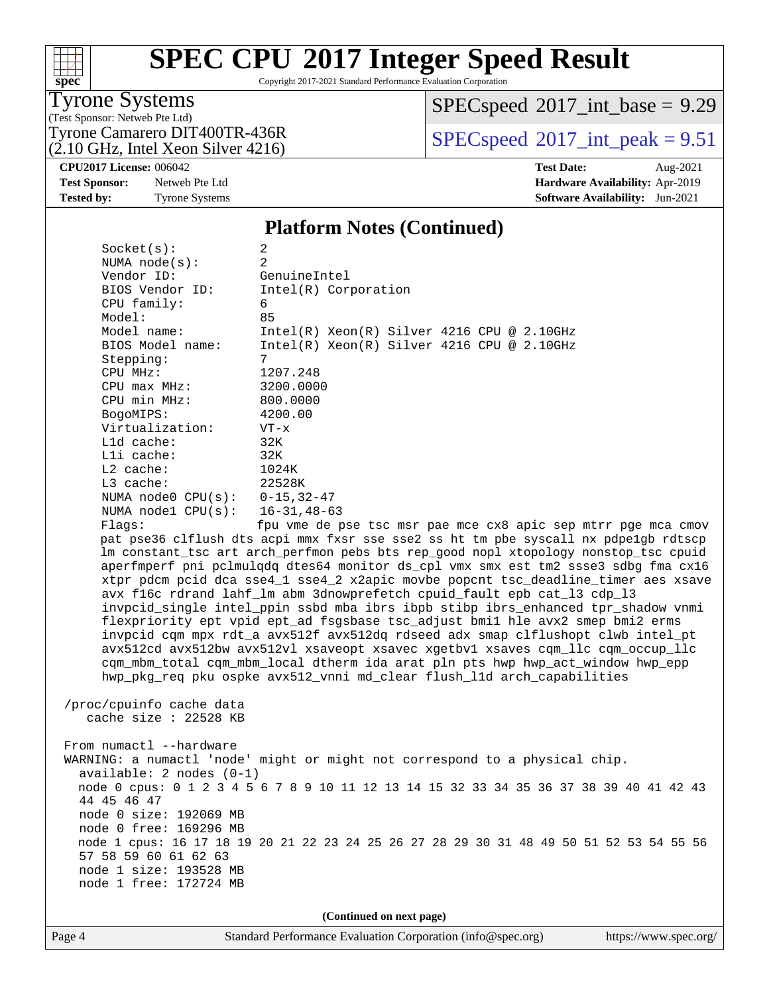Copyright 2017-2021 Standard Performance Evaluation Corporation

Tyrone Systems

**[spec](http://www.spec.org/)**

 $+\!\!+\!\!$ 

(Test Sponsor: Netweb Pte Ltd)

(2.10 GHz, Intel Xeon Silver 4216)

 $SPECspeed^{\circ}2017\_int\_base = 9.29$  $SPECspeed^{\circ}2017\_int\_base = 9.29$ 

Tyrone Camarero DIT400TR-436R<br> $(2.10 \text{ GHz.} \text{J} \cdot \text{m}^2)$  [SPECspeed](http://www.spec.org/auto/cpu2017/Docs/result-fields.html#SPECspeed2017intpeak)®[2017\\_int\\_peak = 9](http://www.spec.org/auto/cpu2017/Docs/result-fields.html#SPECspeed2017intpeak).51

**[CPU2017 License:](http://www.spec.org/auto/cpu2017/Docs/result-fields.html#CPU2017License)** 006042 **[Test Date:](http://www.spec.org/auto/cpu2017/Docs/result-fields.html#TestDate)** Aug-2021

**[Test Sponsor:](http://www.spec.org/auto/cpu2017/Docs/result-fields.html#TestSponsor)** Netweb Pte Ltd **[Hardware Availability:](http://www.spec.org/auto/cpu2017/Docs/result-fields.html#HardwareAvailability)** Apr-2019

**[Tested by:](http://www.spec.org/auto/cpu2017/Docs/result-fields.html#Testedby)** Tyrone Systems **[Software Availability:](http://www.spec.org/auto/cpu2017/Docs/result-fields.html#SoftwareAvailability)** Jun-2021

#### **[Platform Notes \(Continued\)](http://www.spec.org/auto/cpu2017/Docs/result-fields.html#PlatformNotes)**

Socket(s): 2 NUMA node(s): 2 Vendor ID: GenuineIntel BIOS Vendor ID: Intel(R) Corporation CPU family: 6 Model: 85 Model name: Intel(R) Xeon(R) Silver 4216 CPU @ 2.10GHz<br>BIOS Model name: Intel(R) Xeon(R) Silver 4216 CPU @ 2.10GHz Intel(R) Xeon(R) Silver 4216 CPU @ 2.10GHz Stepping: 7 CPU MHz: 1207.248 CPU max MHz: 3200.0000 CPU min MHz: 800.0000 BogoMIPS: 4200.00 Virtualization: VT-x L1d cache: 32K L1i cache: 32K L2 cache: 1024K L3 cache: 22528K NUMA node0 CPU(s): 0-15,32-47 NUMA node1 CPU(s): 16-31,48-63 Flags: fpu vme de pse tsc msr pae mce cx8 apic sep mtrr pge mca cmov pat pse36 clflush dts acpi mmx fxsr sse sse2 ss ht tm pbe syscall nx pdpe1gb rdtscp lm constant\_tsc art arch\_perfmon pebs bts rep\_good nopl xtopology nonstop\_tsc cpuid aperfmperf pni pclmulqdq dtes64 monitor ds\_cpl vmx smx est tm2 ssse3 sdbg fma cx16 xtpr pdcm pcid dca sse4\_1 sse4\_2 x2apic movbe popcnt tsc\_deadline\_timer aes xsave avx f16c rdrand lahf\_lm abm 3dnowprefetch cpuid\_fault epb cat\_l3 cdp\_l3 invpcid\_single intel\_ppin ssbd mba ibrs ibpb stibp ibrs\_enhanced tpr\_shadow vnmi flexpriority ept vpid ept\_ad fsgsbase tsc\_adjust bmi1 hle avx2 smep bmi2 erms invpcid cqm mpx rdt\_a avx512f avx512dq rdseed adx smap clflushopt clwb intel\_pt avx512cd avx512bw avx512vl xsaveopt xsavec xgetbv1 xsaves cqm\_llc cqm\_occup\_llc cqm\_mbm\_total cqm\_mbm\_local dtherm ida arat pln pts hwp hwp\_act\_window hwp\_epp

 /proc/cpuinfo cache data cache size : 22528 KB

From numactl --hardware WARNING: a numactl 'node' might or might not correspond to a physical chip. available: 2 nodes (0-1) node 0 cpus: 0 1 2 3 4 5 6 7 8 9 10 11 12 13 14 15 32 33 34 35 36 37 38 39 40 41 42 43 44 45 46 47 node 0 size: 192069 MB node 0 free: 169296 MB node 1 cpus: 16 17 18 19 20 21 22 23 24 25 26 27 28 29 30 31 48 49 50 51 52 53 54 55 56 57 58 59 60 61 62 63 node 1 size: 193528 MB node 1 free: 172724 MB

hwp\_pkg\_req pku ospke avx512\_vnni md\_clear flush\_l1d arch\_capabilities

**(Continued on next page)**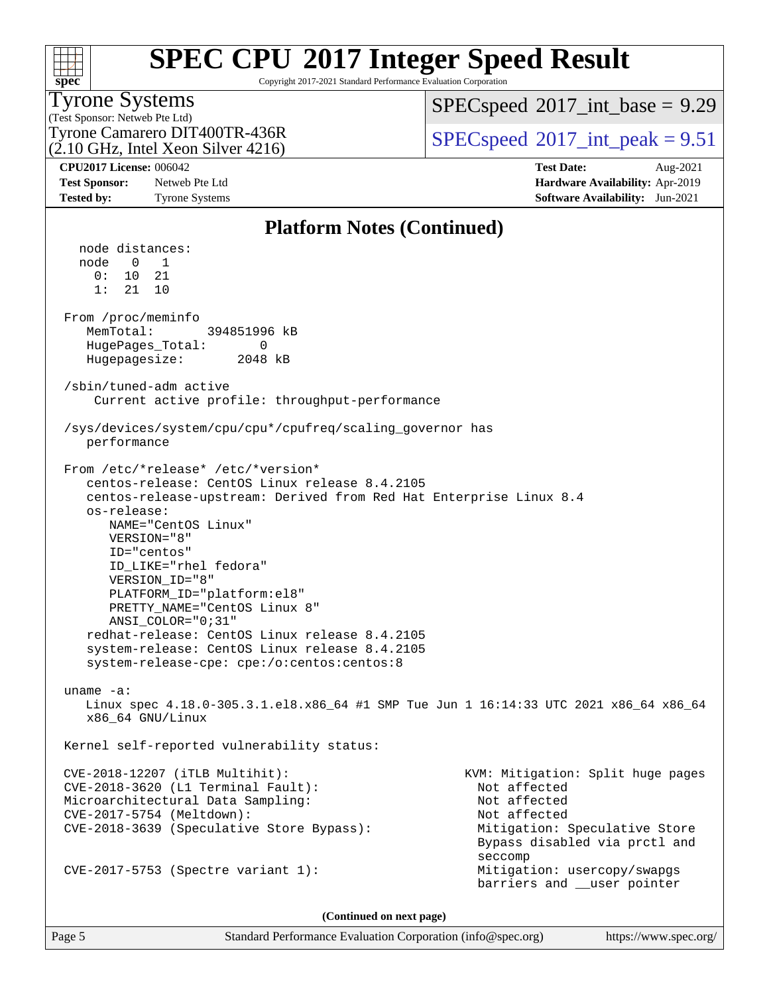| <b>SPEC CPU®2017 Integer Speed Result</b>                                                                                                                                                                                                                                            |
|--------------------------------------------------------------------------------------------------------------------------------------------------------------------------------------------------------------------------------------------------------------------------------------|
| $\alpha$ is an analog in the $\alpha$ is $\alpha$ is $\alpha$ is a set of $\alpha$ is a set of $\alpha$ is a set of $\alpha$ is a set of $\alpha$ is a set of $\alpha$ is a set of $\alpha$ is a set of $\alpha$ is a set of $\alpha$ is a set of $\alpha$ is a set of $\alpha$ is a |

Copyright 2017-2021 Standard Performance Evaluation Corporation

### Tyrone Systems

**[spec](http://www.spec.org/)**

(Test Sponsor: Netweb Pte Ltd) (2.10 GHz, Intel Xeon Silver 4216)  $SPECspeed^{\circledcirc}2017\_int\_base = 9.29$  $SPECspeed^{\circledcirc}2017\_int\_base = 9.29$ 

Tyrone Camarero DIT400TR-436R<br> $(2.10 \text{ GHz.} \text{J} \cdot \text{m}^2)$  [SPECspeed](http://www.spec.org/auto/cpu2017/Docs/result-fields.html#SPECspeed2017intpeak)®[2017\\_int\\_peak = 9](http://www.spec.org/auto/cpu2017/Docs/result-fields.html#SPECspeed2017intpeak).51

**[CPU2017 License:](http://www.spec.org/auto/cpu2017/Docs/result-fields.html#CPU2017License)** 006042 **[Test Date:](http://www.spec.org/auto/cpu2017/Docs/result-fields.html#TestDate)** Aug-2021 **[Test Sponsor:](http://www.spec.org/auto/cpu2017/Docs/result-fields.html#TestSponsor)** Netweb Pte Ltd **[Hardware Availability:](http://www.spec.org/auto/cpu2017/Docs/result-fields.html#HardwareAvailability)** Apr-2019 **[Tested by:](http://www.spec.org/auto/cpu2017/Docs/result-fields.html#Testedby)** Tyrone Systems **[Software Availability:](http://www.spec.org/auto/cpu2017/Docs/result-fields.html#SoftwareAvailability)** Jun-2021

#### **[Platform Notes \(Continued\)](http://www.spec.org/auto/cpu2017/Docs/result-fields.html#PlatformNotes)** node distances: node 0 1 0: 10 21 1: 21 10 From /proc/meminfo MemTotal: 394851996 kB HugePages\_Total: 0 Hugepagesize: 2048 kB /sbin/tuned-adm active Current active profile: throughput-performance /sys/devices/system/cpu/cpu\*/cpufreq/scaling\_governor has performance From /etc/\*release\* /etc/\*version\* centos-release: CentOS Linux release 8.4.2105 centos-release-upstream: Derived from Red Hat Enterprise Linux 8.4 os-release: NAME="CentOS Linux" VERSION="8" ID="centos" ID\_LIKE="rhel fedora" VERSION\_ID="8" PLATFORM\_ID="platform:el8" PRETTY\_NAME="CentOS Linux 8" ANSI\_COLOR="0;31" redhat-release: CentOS Linux release 8.4.2105 system-release: CentOS Linux release 8.4.2105 system-release-cpe: cpe:/o:centos:centos:8 uname -a: Linux spec 4.18.0-305.3.1.el8.x86\_64 #1 SMP Tue Jun 1 16:14:33 UTC 2021 x86\_64 x86\_64 x86\_64 GNU/Linux Kernel self-reported vulnerability status: CVE-2018-12207 (iTLB Multihit): KVM: Mitigation: Split huge pages CVE-2018-3620 (L1 Terminal Fault): Not affected Microarchitectural Data Sampling: Not affected CVE-2017-5754 (Meltdown): Not affected CVE-2018-3639 (Speculative Store Bypass): Mitigation: Speculative Store Bypass disabled via prctl and seccompany and the contract of the contract of the contract of the second seconds of the contract of the contract of the contract of the contract of the contract of the contract of the contract of the contract of the contr CVE-2017-5753 (Spectre variant 1): Mitigation: usercopy/swapgs barriers and \_\_user pointer

**(Continued on next page)**

Page 5 Standard Performance Evaluation Corporation [\(info@spec.org\)](mailto:info@spec.org) <https://www.spec.org/>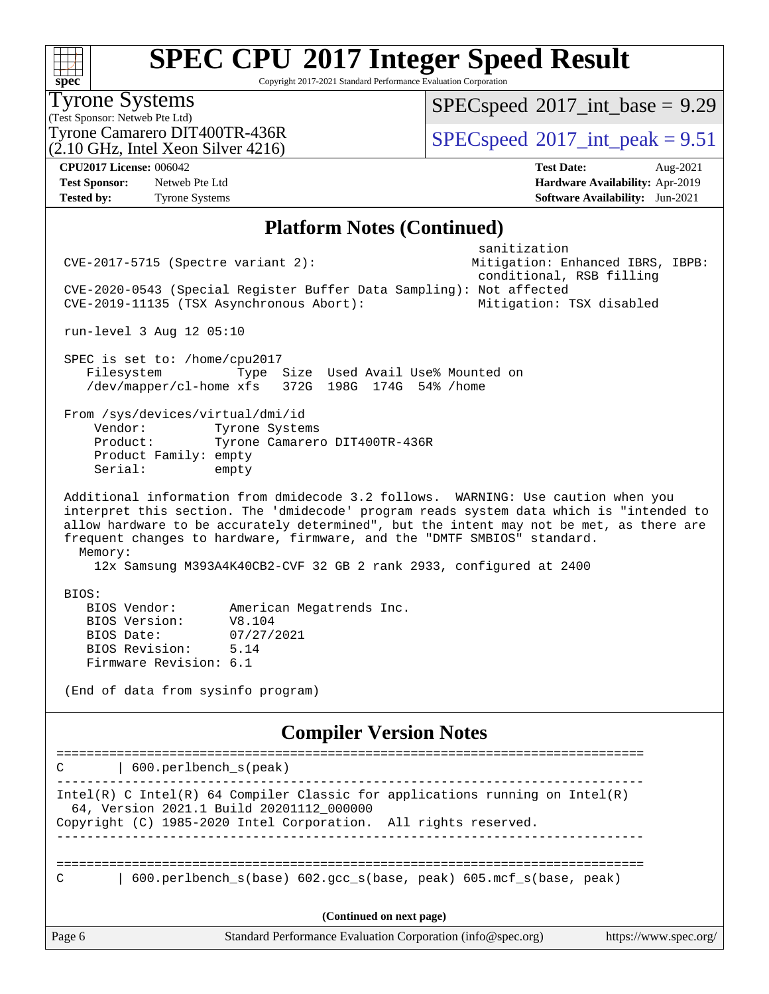Copyright 2017-2021 Standard Performance Evaluation Corporation

(Test Sponsor: Netweb Pte Ltd) Tyrone Systems (2.10 GHz, Intel Xeon Silver 4216) Tyrone Camarero DIT400TR-436R<br> $(2.10 \text{ GHz.} \text{J} \cdot \text{m}^2)$  [SPECspeed](http://www.spec.org/auto/cpu2017/Docs/result-fields.html#SPECspeed2017intpeak)®[2017\\_int\\_peak = 9](http://www.spec.org/auto/cpu2017/Docs/result-fields.html#SPECspeed2017intpeak).51  $SPECspeed^{\circ}2017\_int\_base = 9.29$  $SPECspeed^{\circ}2017\_int\_base = 9.29$ **[CPU2017 License:](http://www.spec.org/auto/cpu2017/Docs/result-fields.html#CPU2017License)** 006042 **[Test Date:](http://www.spec.org/auto/cpu2017/Docs/result-fields.html#TestDate)** Aug-2021 **[Test Sponsor:](http://www.spec.org/auto/cpu2017/Docs/result-fields.html#TestSponsor)** Netweb Pte Ltd **[Hardware Availability:](http://www.spec.org/auto/cpu2017/Docs/result-fields.html#HardwareAvailability)** Apr-2019 **[Tested by:](http://www.spec.org/auto/cpu2017/Docs/result-fields.html#Testedby)** Tyrone Systems **[Software Availability:](http://www.spec.org/auto/cpu2017/Docs/result-fields.html#SoftwareAvailability)** Jun-2021 **[Platform Notes \(Continued\)](http://www.spec.org/auto/cpu2017/Docs/result-fields.html#PlatformNotes)** sanitization CVE-2017-5715 (Spectre variant 2): Mitigation: Enhanced IBRS, IBPB: conditional, RSB filling CVE-2020-0543 (Special Register Buffer Data Sampling): Not affected CVE-2019-11135 (TSX Asynchronous Abort): Mitigation: TSX disabled run-level 3 Aug 12 05:10 SPEC is set to: /home/cpu2017 Filesystem Type Size Used Avail Use% Mounted on /dev/mapper/cl-home xfs 372G 198G 174G 54% /home From /sys/devices/virtual/dmi/id Vendor: Tyrone Systems Product: Tyrone Camarero DIT400TR-436R Product Family: empty Serial: empty Additional information from dmidecode 3.2 follows. WARNING: Use caution when you interpret this section. The 'dmidecode' program reads system data which is "intended to allow hardware to be accurately determined", but the intent may not be met, as there are frequent changes to hardware, firmware, and the "DMTF SMBIOS" standard. Memory: 12x Samsung M393A4K40CB2-CVF 32 GB 2 rank 2933, configured at 2400 BIOS: BIOS Vendor: American Megatrends Inc. BIOS Version: V8.104 BIOS Date: 07/27/2021 BIOS Revision: 5.14 Firmware Revision: 6.1 (End of data from sysinfo program) **[Compiler Version Notes](http://www.spec.org/auto/cpu2017/Docs/result-fields.html#CompilerVersionNotes)** ============================================================================== C | 600.perlbench\_s(peak) ------------------------------------------------------------------------------ Intel(R) C Intel(R) 64 Compiler Classic for applications running on Intel(R) 64, Version 2021.1 Build 20201112\_000000 Copyright (C) 1985-2020 Intel Corporation. All rights reserved. ------------------------------------------------------------------------------

============================================================================== C | 600.perlbench\_s(base) 602.gcc\_s(base, peak) 605.mcf\_s(base, peak)

**(Continued on next page)**

**[spec](http://www.spec.org/)**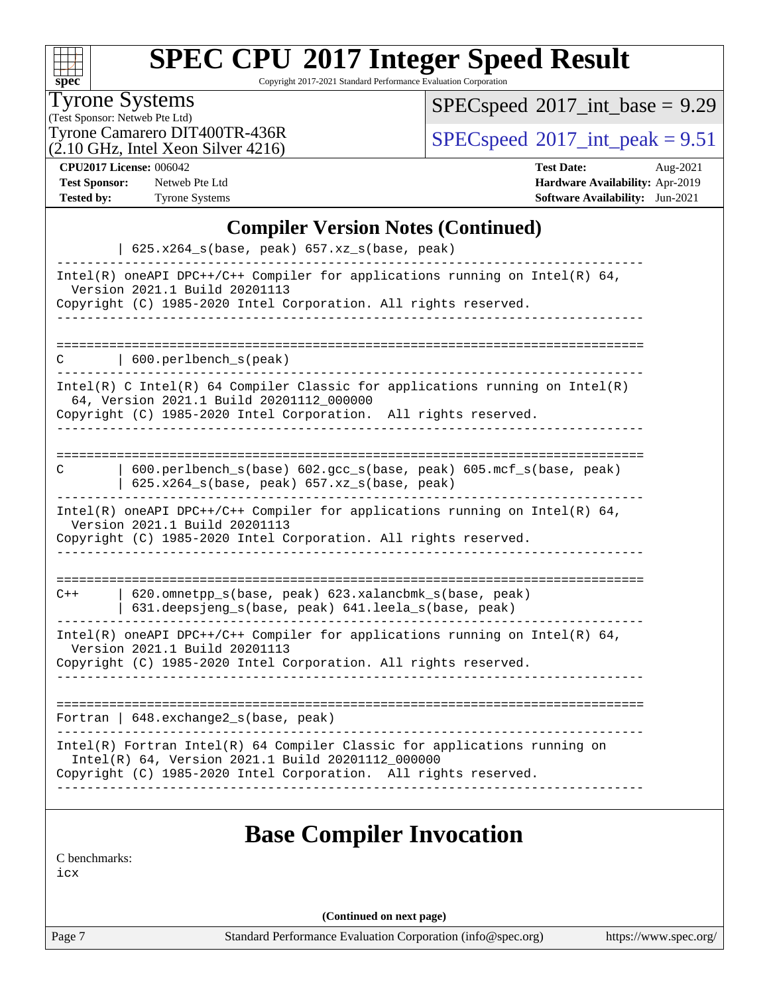| SI | U | e | Ľ |  |
|----|---|---|---|--|

Copyright 2017-2021 Standard Performance Evaluation Corporation

Tyrone Systems

(Test Sponsor: Netweb Pte Ltd)

 $(2.10 \text{ GHz}, \text{Intel Xeon Silver } 4216)$ 

 $SPEC speed$ <sup>®</sup> $2017$ \_int\_base = 9.29

Tyrone Camarero DIT400TR-436R<br>(2.10 GHz, Intel Year Silver 4216)  $\text{SPECspeed} \textcircled{2017\_int\_peak} = 9.51$  $\text{SPECspeed} \textcircled{2017\_int\_peak} = 9.51$  $\text{SPECspeed} \textcircled{2017\_int\_peak} = 9.51$ 

**[CPU2017 License:](http://www.spec.org/auto/cpu2017/Docs/result-fields.html#CPU2017License)** 006042 **[Test Date:](http://www.spec.org/auto/cpu2017/Docs/result-fields.html#TestDate)** Aug-2021 **[Test Sponsor:](http://www.spec.org/auto/cpu2017/Docs/result-fields.html#TestSponsor)** Netweb Pte Ltd **[Hardware Availability:](http://www.spec.org/auto/cpu2017/Docs/result-fields.html#HardwareAvailability)** Apr-2019 **[Tested by:](http://www.spec.org/auto/cpu2017/Docs/result-fields.html#Testedby)** Tyrone Systems **[Software Availability:](http://www.spec.org/auto/cpu2017/Docs/result-fields.html#SoftwareAvailability)** Jun-2021

#### **[Compiler Version Notes \(Continued\)](http://www.spec.org/auto/cpu2017/Docs/result-fields.html#CompilerVersionNotes)**

| $625.x264_s(base, peak) 657.xz_s(base, peak)$                                                                                                                                                     |
|---------------------------------------------------------------------------------------------------------------------------------------------------------------------------------------------------|
| Intel(R) oneAPI DPC++/C++ Compiler for applications running on Intel(R) $64$ ,<br>Version 2021.1 Build 20201113<br>Copyright (C) 1985-2020 Intel Corporation. All rights reserved.                |
|                                                                                                                                                                                                   |
| $\vert$ 600.perlbench_s(peak)<br>C                                                                                                                                                                |
| Intel(R) C Intel(R) 64 Compiler Classic for applications running on Intel(R)<br>64, Version 2021.1 Build 20201112_000000<br>Copyright (C) 1985-2020 Intel Corporation. All rights reserved.       |
|                                                                                                                                                                                                   |
| 600.perlbench_s(base) 602.gcc_s(base, peak) 605.mcf_s(base, peak)<br>C<br>$625.x264_s(base, peak)$ 657.xz_s(base, peak)                                                                           |
| Intel(R) oneAPI DPC++/C++ Compiler for applications running on Intel(R) $64$ ,<br>Version 2021.1 Build 20201113<br>Copyright (C) 1985-2020 Intel Corporation. All rights reserved.                |
|                                                                                                                                                                                                   |
| 620.omnetpp_s(base, peak) 623.xalancbmk_s(base, peak)<br>$C++$<br>631.deepsjeng_s(base, peak) 641.leela_s(base, peak)                                                                             |
| Intel(R) oneAPI DPC++/C++ Compiler for applications running on Intel(R) $64$ ,<br>Version 2021.1 Build 20201113<br>Copyright (C) 1985-2020 Intel Corporation. All rights reserved.                |
|                                                                                                                                                                                                   |
| Fortran   648. exchange2_s(base, peak)                                                                                                                                                            |
| Intel(R) Fortran Intel(R) 64 Compiler Classic for applications running on<br>Intel(R) 64, Version 2021.1 Build 20201112_000000<br>Copyright (C) 1985-2020 Intel Corporation. All rights reserved. |
| <b>Base Compiler Invocation</b>                                                                                                                                                                   |
| C benchmarks:                                                                                                                                                                                     |

[icx](http://www.spec.org/cpu2017/results/res2021q3/cpu2017-20210824-28901.flags.html#user_CCbase_intel_icx_fe2d28d19ae2a5db7c42fe0f2a2aed77cb715edd4aeb23434404a8be6683fe239869bb6ca8154ca98265c2e3b9226a719a0efe2953a4a7018c379b7010ccf087)

**(Continued on next page)**

Page 7 Standard Performance Evaluation Corporation [\(info@spec.org\)](mailto:info@spec.org) <https://www.spec.org/>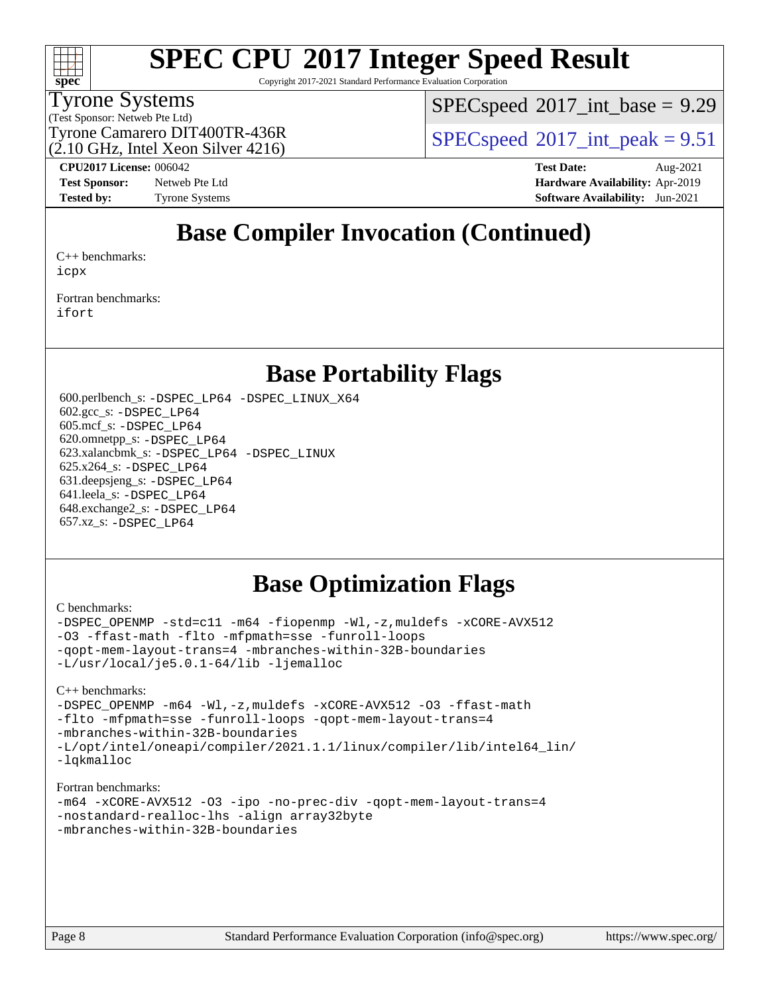

Copyright 2017-2021 Standard Performance Evaluation Corporation

#### Tyrone Systems

(Test Sponsor: Netweb Pte Ltd)

 $SPECspeed^{\circ}2017\_int\_base = 9.29$  $SPECspeed^{\circ}2017\_int\_base = 9.29$ 

Tyrone Camarero DIT400TR-436R<br> $(2.10 \text{ GHz.} \text{J} \cdot \text{m}^2)$  [SPECspeed](http://www.spec.org/auto/cpu2017/Docs/result-fields.html#SPECspeed2017intpeak)®[2017\\_int\\_peak = 9](http://www.spec.org/auto/cpu2017/Docs/result-fields.html#SPECspeed2017intpeak).51

(2.10 GHz, Intel Xeon Silver 4216)

**[CPU2017 License:](http://www.spec.org/auto/cpu2017/Docs/result-fields.html#CPU2017License)** 006042 **[Test Date:](http://www.spec.org/auto/cpu2017/Docs/result-fields.html#TestDate)** Aug-2021 **[Test Sponsor:](http://www.spec.org/auto/cpu2017/Docs/result-fields.html#TestSponsor)** Netweb Pte Ltd **[Hardware Availability:](http://www.spec.org/auto/cpu2017/Docs/result-fields.html#HardwareAvailability)** Apr-2019 **[Tested by:](http://www.spec.org/auto/cpu2017/Docs/result-fields.html#Testedby)** Tyrone Systems **[Software Availability:](http://www.spec.org/auto/cpu2017/Docs/result-fields.html#SoftwareAvailability)** Jun-2021

## **[Base Compiler Invocation \(Continued\)](http://www.spec.org/auto/cpu2017/Docs/result-fields.html#BaseCompilerInvocation)**

[C++ benchmarks:](http://www.spec.org/auto/cpu2017/Docs/result-fields.html#CXXbenchmarks) [icpx](http://www.spec.org/cpu2017/results/res2021q3/cpu2017-20210824-28901.flags.html#user_CXXbase_intel_icpx_1e918ed14c436bf4b9b7c8bcdd51d4539fc71b3df010bd1e9f8732d9c34c2b2914e48204a846820f3c0ebb4095dea797a5c30b458ac0b6dffac65d78f781f5ca)

[Fortran benchmarks](http://www.spec.org/auto/cpu2017/Docs/result-fields.html#Fortranbenchmarks): [ifort](http://www.spec.org/cpu2017/results/res2021q3/cpu2017-20210824-28901.flags.html#user_FCbase_intel_ifort_8111460550e3ca792625aed983ce982f94888b8b503583aa7ba2b8303487b4d8a21a13e7191a45c5fd58ff318f48f9492884d4413fa793fd88dd292cad7027ca)

### **[Base Portability Flags](http://www.spec.org/auto/cpu2017/Docs/result-fields.html#BasePortabilityFlags)**

 600.perlbench\_s: [-DSPEC\\_LP64](http://www.spec.org/cpu2017/results/res2021q3/cpu2017-20210824-28901.flags.html#b600.perlbench_s_basePORTABILITY_DSPEC_LP64) [-DSPEC\\_LINUX\\_X64](http://www.spec.org/cpu2017/results/res2021q3/cpu2017-20210824-28901.flags.html#b600.perlbench_s_baseCPORTABILITY_DSPEC_LINUX_X64) 602.gcc\_s: [-DSPEC\\_LP64](http://www.spec.org/cpu2017/results/res2021q3/cpu2017-20210824-28901.flags.html#suite_basePORTABILITY602_gcc_s_DSPEC_LP64) 605.mcf\_s: [-DSPEC\\_LP64](http://www.spec.org/cpu2017/results/res2021q3/cpu2017-20210824-28901.flags.html#suite_basePORTABILITY605_mcf_s_DSPEC_LP64) 620.omnetpp\_s: [-DSPEC\\_LP64](http://www.spec.org/cpu2017/results/res2021q3/cpu2017-20210824-28901.flags.html#suite_basePORTABILITY620_omnetpp_s_DSPEC_LP64) 623.xalancbmk\_s: [-DSPEC\\_LP64](http://www.spec.org/cpu2017/results/res2021q3/cpu2017-20210824-28901.flags.html#suite_basePORTABILITY623_xalancbmk_s_DSPEC_LP64) [-DSPEC\\_LINUX](http://www.spec.org/cpu2017/results/res2021q3/cpu2017-20210824-28901.flags.html#b623.xalancbmk_s_baseCXXPORTABILITY_DSPEC_LINUX) 625.x264\_s: [-DSPEC\\_LP64](http://www.spec.org/cpu2017/results/res2021q3/cpu2017-20210824-28901.flags.html#suite_basePORTABILITY625_x264_s_DSPEC_LP64) 631.deepsjeng\_s: [-DSPEC\\_LP64](http://www.spec.org/cpu2017/results/res2021q3/cpu2017-20210824-28901.flags.html#suite_basePORTABILITY631_deepsjeng_s_DSPEC_LP64) 641.leela\_s: [-DSPEC\\_LP64](http://www.spec.org/cpu2017/results/res2021q3/cpu2017-20210824-28901.flags.html#suite_basePORTABILITY641_leela_s_DSPEC_LP64) 648.exchange2\_s: [-DSPEC\\_LP64](http://www.spec.org/cpu2017/results/res2021q3/cpu2017-20210824-28901.flags.html#suite_basePORTABILITY648_exchange2_s_DSPEC_LP64) 657.xz\_s: [-DSPEC\\_LP64](http://www.spec.org/cpu2017/results/res2021q3/cpu2017-20210824-28901.flags.html#suite_basePORTABILITY657_xz_s_DSPEC_LP64)

### **[Base Optimization Flags](http://www.spec.org/auto/cpu2017/Docs/result-fields.html#BaseOptimizationFlags)**

#### [C benchmarks](http://www.spec.org/auto/cpu2017/Docs/result-fields.html#Cbenchmarks):

[-DSPEC\\_OPENMP](http://www.spec.org/cpu2017/results/res2021q3/cpu2017-20210824-28901.flags.html#suite_CCbase_DSPEC_OPENMP) [-std=c11](http://www.spec.org/cpu2017/results/res2021q3/cpu2017-20210824-28901.flags.html#user_CCbase_std-icc-std_0e1c27790398a4642dfca32ffe6c27b5796f9c2d2676156f2e42c9c44eaad0c049b1cdb667a270c34d979996257aeb8fc440bfb01818dbc9357bd9d174cb8524) [-m64](http://www.spec.org/cpu2017/results/res2021q3/cpu2017-20210824-28901.flags.html#user_CCbase_m64-icc) [-fiopenmp](http://www.spec.org/cpu2017/results/res2021q3/cpu2017-20210824-28901.flags.html#user_CCbase_fiopenmp_4cde26b3fcccd23bd0bb70af4efc204325d72839eefa1147e34201101709f20b3deb62aad96701dea148529bf4ca48c90b72f3bf837ca148e297cf8a0ba6feb7) [-Wl,-z,muldefs](http://www.spec.org/cpu2017/results/res2021q3/cpu2017-20210824-28901.flags.html#user_CCbase_link_force_multiple1_b4cbdb97b34bdee9ceefcfe54f4c8ea74255f0b02a4b23e853cdb0e18eb4525ac79b5a88067c842dd0ee6996c24547a27a4b99331201badda8798ef8a743f577) [-xCORE-AVX512](http://www.spec.org/cpu2017/results/res2021q3/cpu2017-20210824-28901.flags.html#user_CCbase_f-xCORE-AVX512) [-O3](http://www.spec.org/cpu2017/results/res2021q3/cpu2017-20210824-28901.flags.html#user_CCbase_f-O3) [-ffast-math](http://www.spec.org/cpu2017/results/res2021q3/cpu2017-20210824-28901.flags.html#user_CCbase_f-ffast-math) [-flto](http://www.spec.org/cpu2017/results/res2021q3/cpu2017-20210824-28901.flags.html#user_CCbase_f-flto) [-mfpmath=sse](http://www.spec.org/cpu2017/results/res2021q3/cpu2017-20210824-28901.flags.html#user_CCbase_f-mfpmath_70eb8fac26bde974f8ab713bc9086c5621c0b8d2f6c86f38af0bd7062540daf19db5f3a066d8c6684be05d84c9b6322eb3b5be6619d967835195b93d6c02afa1) [-funroll-loops](http://www.spec.org/cpu2017/results/res2021q3/cpu2017-20210824-28901.flags.html#user_CCbase_f-funroll-loops) [-qopt-mem-layout-trans=4](http://www.spec.org/cpu2017/results/res2021q3/cpu2017-20210824-28901.flags.html#user_CCbase_f-qopt-mem-layout-trans_fa39e755916c150a61361b7846f310bcdf6f04e385ef281cadf3647acec3f0ae266d1a1d22d972a7087a248fd4e6ca390a3634700869573d231a252c784941a8) [-mbranches-within-32B-boundaries](http://www.spec.org/cpu2017/results/res2021q3/cpu2017-20210824-28901.flags.html#user_CCbase_f-mbranches-within-32B-boundaries) [-L/usr/local/je5.0.1-64/lib](http://www.spec.org/cpu2017/results/res2021q3/cpu2017-20210824-28901.flags.html#user_CCbase_jemalloc_link_path64_4b10a636b7bce113509b17f3bd0d6226c5fb2346b9178c2d0232c14f04ab830f976640479e5c33dc2bcbbdad86ecfb6634cbbd4418746f06f368b512fced5394) [-ljemalloc](http://www.spec.org/cpu2017/results/res2021q3/cpu2017-20210824-28901.flags.html#user_CCbase_jemalloc_link_lib_d1249b907c500fa1c0672f44f562e3d0f79738ae9e3c4a9c376d49f265a04b9c99b167ecedbf6711b3085be911c67ff61f150a17b3472be731631ba4d0471706)

[C++ benchmarks:](http://www.spec.org/auto/cpu2017/Docs/result-fields.html#CXXbenchmarks)

[-DSPEC\\_OPENMP](http://www.spec.org/cpu2017/results/res2021q3/cpu2017-20210824-28901.flags.html#suite_CXXbase_DSPEC_OPENMP) [-m64](http://www.spec.org/cpu2017/results/res2021q3/cpu2017-20210824-28901.flags.html#user_CXXbase_m64-icc) [-Wl,-z,muldefs](http://www.spec.org/cpu2017/results/res2021q3/cpu2017-20210824-28901.flags.html#user_CXXbase_link_force_multiple1_b4cbdb97b34bdee9ceefcfe54f4c8ea74255f0b02a4b23e853cdb0e18eb4525ac79b5a88067c842dd0ee6996c24547a27a4b99331201badda8798ef8a743f577) [-xCORE-AVX512](http://www.spec.org/cpu2017/results/res2021q3/cpu2017-20210824-28901.flags.html#user_CXXbase_f-xCORE-AVX512) [-O3](http://www.spec.org/cpu2017/results/res2021q3/cpu2017-20210824-28901.flags.html#user_CXXbase_f-O3) [-ffast-math](http://www.spec.org/cpu2017/results/res2021q3/cpu2017-20210824-28901.flags.html#user_CXXbase_f-ffast-math) [-flto](http://www.spec.org/cpu2017/results/res2021q3/cpu2017-20210824-28901.flags.html#user_CXXbase_f-flto) [-mfpmath=sse](http://www.spec.org/cpu2017/results/res2021q3/cpu2017-20210824-28901.flags.html#user_CXXbase_f-mfpmath_70eb8fac26bde974f8ab713bc9086c5621c0b8d2f6c86f38af0bd7062540daf19db5f3a066d8c6684be05d84c9b6322eb3b5be6619d967835195b93d6c02afa1) [-funroll-loops](http://www.spec.org/cpu2017/results/res2021q3/cpu2017-20210824-28901.flags.html#user_CXXbase_f-funroll-loops) [-qopt-mem-layout-trans=4](http://www.spec.org/cpu2017/results/res2021q3/cpu2017-20210824-28901.flags.html#user_CXXbase_f-qopt-mem-layout-trans_fa39e755916c150a61361b7846f310bcdf6f04e385ef281cadf3647acec3f0ae266d1a1d22d972a7087a248fd4e6ca390a3634700869573d231a252c784941a8) [-mbranches-within-32B-boundaries](http://www.spec.org/cpu2017/results/res2021q3/cpu2017-20210824-28901.flags.html#user_CXXbase_f-mbranches-within-32B-boundaries) [-L/opt/intel/oneapi/compiler/2021.1.1/linux/compiler/lib/intel64\\_lin/](http://www.spec.org/cpu2017/results/res2021q3/cpu2017-20210824-28901.flags.html#user_CXXbase_linkpath_765a8c93c4ea33dfc565a33ecb48f4f7d02a6338709b3b362f341eb203a06426ce1d12ded4c7809f6ab6cf0e9f5515cffeb4efc405b63f85dc27a83bbbdeb3a3) [-lqkmalloc](http://www.spec.org/cpu2017/results/res2021q3/cpu2017-20210824-28901.flags.html#user_CXXbase_qkmalloc_link_lib_79a818439969f771c6bc311cfd333c00fc099dad35c030f5aab9dda831713d2015205805422f83de8875488a2991c0a156aaa600e1f9138f8fc37004abc96dc5)

#### [Fortran benchmarks](http://www.spec.org/auto/cpu2017/Docs/result-fields.html#Fortranbenchmarks):

```
-m64 -xCORE-AVX512 -O3 -ipo -no-prec-div -qopt-mem-layout-trans=4
-nostandard-realloc-lhs -align array32byte
-mbranches-within-32B-boundaries
```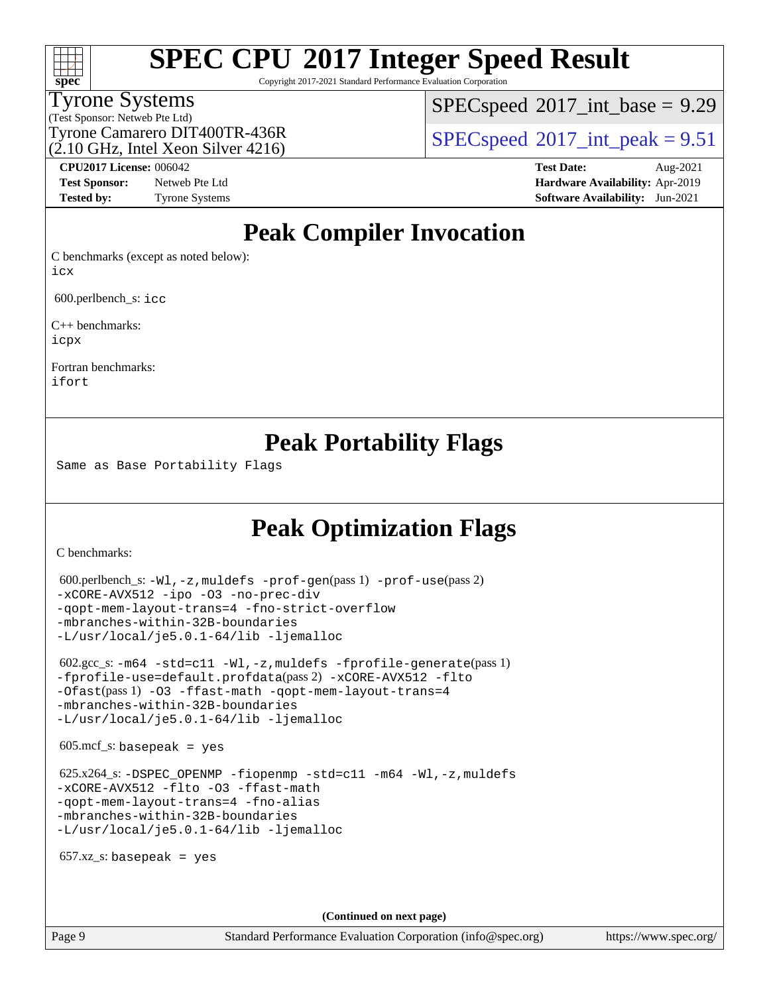# **[spec](http://www.spec.org/)**

# **[SPEC CPU](http://www.spec.org/auto/cpu2017/Docs/result-fields.html#SPECCPU2017IntegerSpeedResult)[2017 Integer Speed Result](http://www.spec.org/auto/cpu2017/Docs/result-fields.html#SPECCPU2017IntegerSpeedResult)**

Copyright 2017-2021 Standard Performance Evaluation Corporation

#### Tyrone Systems

(Test Sponsor: Netweb Pte Ltd)

(2.10 GHz, Intel Xeon Silver 4216)

 $SPECspeed^{\circ}2017\_int\_base = 9.29$  $SPECspeed^{\circ}2017\_int\_base = 9.29$ 

Tyrone Camarero DIT400TR-436R<br> $(2.10 \text{ GHz.} \text{J} \cdot \text{m}^2)$  [SPECspeed](http://www.spec.org/auto/cpu2017/Docs/result-fields.html#SPECspeed2017intpeak)®[2017\\_int\\_peak = 9](http://www.spec.org/auto/cpu2017/Docs/result-fields.html#SPECspeed2017intpeak).51

**[Test Sponsor:](http://www.spec.org/auto/cpu2017/Docs/result-fields.html#TestSponsor)** Netweb Pte Ltd **[Hardware Availability:](http://www.spec.org/auto/cpu2017/Docs/result-fields.html#HardwareAvailability)** Apr-2019 **[Tested by:](http://www.spec.org/auto/cpu2017/Docs/result-fields.html#Testedby)** Tyrone Systems **[Software Availability:](http://www.spec.org/auto/cpu2017/Docs/result-fields.html#SoftwareAvailability)** Jun-2021

**[CPU2017 License:](http://www.spec.org/auto/cpu2017/Docs/result-fields.html#CPU2017License)** 006042 **[Test Date:](http://www.spec.org/auto/cpu2017/Docs/result-fields.html#TestDate)** Aug-2021

## **[Peak Compiler Invocation](http://www.spec.org/auto/cpu2017/Docs/result-fields.html#PeakCompilerInvocation)**

[C benchmarks \(except as noted below\)](http://www.spec.org/auto/cpu2017/Docs/result-fields.html#Cbenchmarksexceptasnotedbelow): [icx](http://www.spec.org/cpu2017/results/res2021q3/cpu2017-20210824-28901.flags.html#user_CCpeak_intel_icx_fe2d28d19ae2a5db7c42fe0f2a2aed77cb715edd4aeb23434404a8be6683fe239869bb6ca8154ca98265c2e3b9226a719a0efe2953a4a7018c379b7010ccf087)

600.perlbench\_s: [icc](http://www.spec.org/cpu2017/results/res2021q3/cpu2017-20210824-28901.flags.html#user_peakCCLD600_perlbench_s_intel_icc_66fc1ee009f7361af1fbd72ca7dcefbb700085f36577c54f309893dd4ec40d12360134090235512931783d35fd58c0460139e722d5067c5574d8eaf2b3e37e92)

[C++ benchmarks:](http://www.spec.org/auto/cpu2017/Docs/result-fields.html#CXXbenchmarks) [icpx](http://www.spec.org/cpu2017/results/res2021q3/cpu2017-20210824-28901.flags.html#user_CXXpeak_intel_icpx_1e918ed14c436bf4b9b7c8bcdd51d4539fc71b3df010bd1e9f8732d9c34c2b2914e48204a846820f3c0ebb4095dea797a5c30b458ac0b6dffac65d78f781f5ca)

[Fortran benchmarks](http://www.spec.org/auto/cpu2017/Docs/result-fields.html#Fortranbenchmarks): [ifort](http://www.spec.org/cpu2017/results/res2021q3/cpu2017-20210824-28901.flags.html#user_FCpeak_intel_ifort_8111460550e3ca792625aed983ce982f94888b8b503583aa7ba2b8303487b4d8a21a13e7191a45c5fd58ff318f48f9492884d4413fa793fd88dd292cad7027ca)

### **[Peak Portability Flags](http://www.spec.org/auto/cpu2017/Docs/result-fields.html#PeakPortabilityFlags)**

Same as Base Portability Flags

## **[Peak Optimization Flags](http://www.spec.org/auto/cpu2017/Docs/result-fields.html#PeakOptimizationFlags)**

[C benchmarks](http://www.spec.org/auto/cpu2017/Docs/result-fields.html#Cbenchmarks):

```
 600.perlbench_s: -Wl,-z,muldefs -prof-gen(pass 1) -prof-use(pass 2)
-xCORE-AVX512 -ipo -O3 -no-prec-div
-qopt-mem-layout-trans=4 -fno-strict-overflow
-mbranches-within-32B-boundaries
-L/usr/local/je5.0.1-64/lib -ljemalloc
 602.gcc_s: -m64 -std=c11 -Wl,-z,muldefs -fprofile-generate(pass 1)
-fprofile-use=default.profdata(pass 2) -xCORE-AVX512 -flto
-Ofast(pass 1) -O3 -ffast-math -qopt-mem-layout-trans=4
-mbranches-within-32B-boundaries
-L/usr/local/je5.0.1-64/lib -ljemalloc
605 \text{.mcf}\text{-}\mathrm{s}: basepeak = yes
625.x264-fiopenmp-std=c11-m64-Wl,-z,muldefs
-xCORE-AVX512 -flto -O3 -ffast-math
-qopt-mem-layout-trans=4 -fno-alias
-mbranches-within-32B-boundaries
-L/usr/local/je5.0.1-64/lib -ljemalloc
657.xz s: basepeak = yes
                                     (Continued on next page)
```